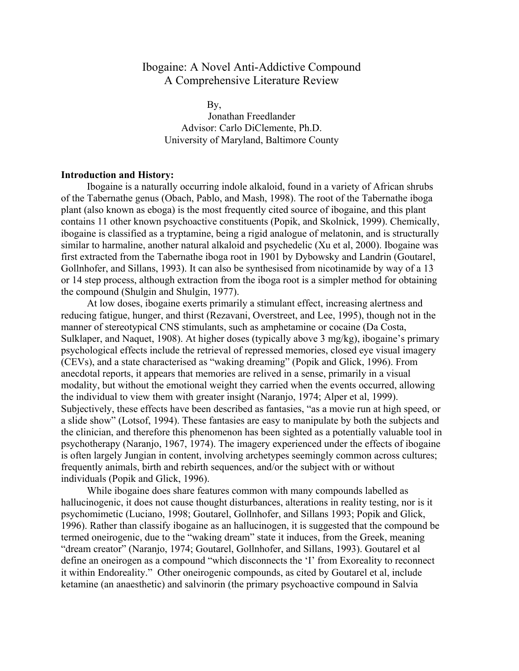# Ibogaine: A Novel Anti-Addictive Compound A Comprehensive Literature Review

 By, Jonathan Freedlander Advisor: Carlo DiClemente, Ph.D. University of Maryland, Baltimore County

## **Introduction and History:**

Ibogaine is a naturally occurring indole alkaloid, found in a variety of African shrubs of the Tabernathe genus (Obach, Pablo, and Mash, 1998). The root of the Tabernathe iboga plant (also known as eboga) is the most frequently cited source of ibogaine, and this plant contains 11 other known psychoactive constituents (Popik, and Skolnick, 1999). Chemically, ibogaine is classified as a tryptamine, being a rigid analogue of melatonin, and is structurally similar to harmaline, another natural alkaloid and psychedelic (Xu et al, 2000). Ibogaine was first extracted from the Tabernathe iboga root in 1901 by Dybowsky and Landrin (Goutarel, Gollnhofer, and Sillans, 1993). It can also be synthesised from nicotinamide by way of a 13 or 14 step process, although extraction from the iboga root is a simpler method for obtaining the compound (Shulgin and Shulgin, 1977).

At low doses, ibogaine exerts primarily a stimulant effect, increasing alertness and reducing fatigue, hunger, and thirst (Rezavani, Overstreet, and Lee, 1995), though not in the manner of stereotypical CNS stimulants, such as amphetamine or cocaine (Da Costa, Sulklaper, and Naquet, 1908). At higher doses (typically above 3 mg/kg), ibogaine's primary psychological effects include the retrieval of repressed memories, closed eye visual imagery (CEVs), and a state characterised as "waking dreaming" (Popik and Glick, 1996). From anecdotal reports, it appears that memories are relived in a sense, primarily in a visual modality, but without the emotional weight they carried when the events occurred, allowing the individual to view them with greater insight (Naranjo, 1974; Alper et al, 1999). Subjectively, these effects have been described as fantasies, "as a movie run at high speed, or a slide show" (Lotsof, 1994). These fantasies are easy to manipulate by both the subjects and the clinician, and therefore this phenomenon has been sighted as a potentially valuable tool in psychotherapy (Naranjo, 1967, 1974). The imagery experienced under the effects of ibogaine is often largely Jungian in content, involving archetypes seemingly common across cultures; frequently animals, birth and rebirth sequences, and/or the subject with or without individuals (Popik and Glick, 1996).

While ibogaine does share features common with many compounds labelled as hallucinogenic, it does not cause thought disturbances, alterations in reality testing, nor is it psychomimetic (Luciano, 1998; Goutarel, Gollnhofer, and Sillans 1993; Popik and Glick, 1996). Rather than classify ibogaine as an hallucinogen, it is suggested that the compound be termed oneirogenic, due to the "waking dream" state it induces, from the Greek, meaning "dream creator" (Naranjo, 1974; Goutarel, Gollnhofer, and Sillans, 1993). Goutarel et al define an oneirogen as a compound "which disconnects the 'I' from Exoreality to reconnect it within Endoreality." Other oneirogenic compounds, as cited by Goutarel et al, include ketamine (an anaesthetic) and salvinorin (the primary psychoactive compound in Salvia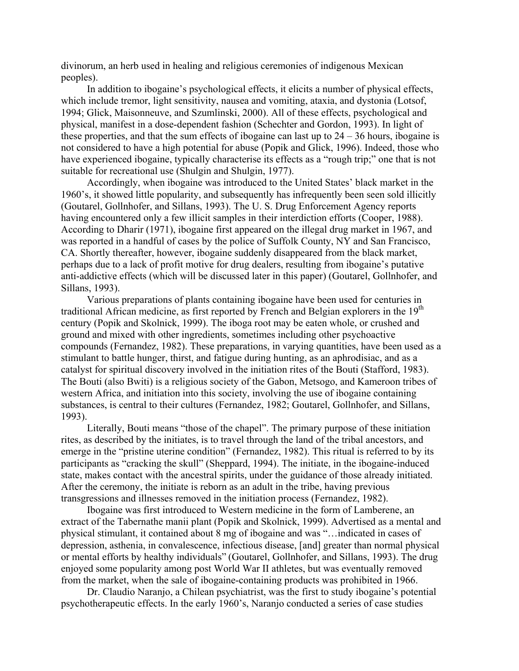divinorum, an herb used in healing and religious ceremonies of indigenous Mexican peoples).

In addition to ibogaine's psychological effects, it elicits a number of physical effects, which include tremor, light sensitivity, nausea and vomiting, ataxia, and dystonia (Lotsof, 1994; Glick, Maisonneuve, and Szumlinski, 2000). All of these effects, psychological and physical, manifest in a dose-dependent fashion (Schechter and Gordon, 1993). In light of these properties, and that the sum effects of ibogaine can last up to  $24 - 36$  hours, ibogaine is not considered to have a high potential for abuse (Popik and Glick, 1996). Indeed, those who have experienced ibogaine, typically characterise its effects as a "rough trip;" one that is not suitable for recreational use (Shulgin and Shulgin, 1977).

Accordingly, when ibogaine was introduced to the United States' black market in the 1960's, it showed little popularity, and subsequently has infrequently been seen sold illicitly (Goutarel, Gollnhofer, and Sillans, 1993). The U. S. Drug Enforcement Agency reports having encountered only a few illicit samples in their interdiction efforts (Cooper, 1988). According to Dharir (1971), ibogaine first appeared on the illegal drug market in 1967, and was reported in a handful of cases by the police of Suffolk County, NY and San Francisco, CA. Shortly thereafter, however, ibogaine suddenly disappeared from the black market, perhaps due to a lack of profit motive for drug dealers, resulting from ibogaine's putative anti-addictive effects (which will be discussed later in this paper) (Goutarel, Gollnhofer, and Sillans, 1993).

Various preparations of plants containing ibogaine have been used for centuries in traditional African medicine, as first reported by French and Belgian explorers in the  $19<sup>th</sup>$ century (Popik and Skolnick, 1999). The iboga root may be eaten whole, or crushed and ground and mixed with other ingredients, sometimes including other psychoactive compounds (Fernandez, 1982). These preparations, in varying quantities, have been used as a stimulant to battle hunger, thirst, and fatigue during hunting, as an aphrodisiac, and as a catalyst for spiritual discovery involved in the initiation rites of the Bouti (Stafford, 1983). The Bouti (also Bwiti) is a religious society of the Gabon, Metsogo, and Kameroon tribes of western Africa, and initiation into this society, involving the use of ibogaine containing substances, is central to their cultures (Fernandez, 1982; Goutarel, Gollnhofer, and Sillans, 1993).

Literally, Bouti means "those of the chapel". The primary purpose of these initiation rites, as described by the initiates, is to travel through the land of the tribal ancestors, and emerge in the "pristine uterine condition" (Fernandez, 1982). This ritual is referred to by its participants as "cracking the skull" (Sheppard, 1994). The initiate, in the ibogaine-induced state, makes contact with the ancestral spirits, under the guidance of those already initiated. After the ceremony, the initiate is reborn as an adult in the tribe, having previous transgressions and illnesses removed in the initiation process (Fernandez, 1982).

Ibogaine was first introduced to Western medicine in the form of Lamberene, an extract of the Tabernathe manii plant (Popik and Skolnick, 1999). Advertised as a mental and physical stimulant, it contained about 8 mg of ibogaine and was "…indicated in cases of depression, asthenia, in convalescence, infectious disease, [and] greater than normal physical or mental efforts by healthy individuals" (Goutarel, Gollnhofer, and Sillans, 1993). The drug enjoyed some popularity among post World War II athletes, but was eventually removed from the market, when the sale of ibogaine-containing products was prohibited in 1966.

Dr. Claudio Naranjo, a Chilean psychiatrist, was the first to study ibogaine's potential psychotherapeutic effects. In the early 1960's, Naranjo conducted a series of case studies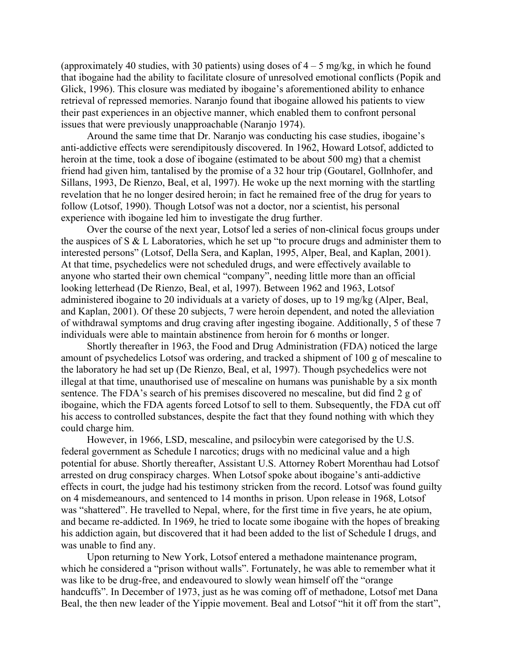(approximately 40 studies, with 30 patients) using doses of  $4 - 5$  mg/kg, in which he found that ibogaine had the ability to facilitate closure of unresolved emotional conflicts (Popik and Glick, 1996). This closure was mediated by ibogaine's aforementioned ability to enhance retrieval of repressed memories. Naranjo found that ibogaine allowed his patients to view their past experiences in an objective manner, which enabled them to confront personal issues that were previously unapproachable (Naranjo 1974).

Around the same time that Dr. Naranjo was conducting his case studies, ibogaine's anti-addictive effects were serendipitously discovered. In 1962, Howard Lotsof, addicted to heroin at the time, took a dose of ibogaine (estimated to be about 500 mg) that a chemist friend had given him, tantalised by the promise of a 32 hour trip (Goutarel, Gollnhofer, and Sillans, 1993, De Rienzo, Beal, et al, 1997). He woke up the next morning with the startling revelation that he no longer desired heroin; in fact he remained free of the drug for years to follow (Lotsof, 1990). Though Lotsof was not a doctor, nor a scientist, his personal experience with ibogaine led him to investigate the drug further.

Over the course of the next year, Lotsof led a series of non-clinical focus groups under the auspices of S & L Laboratories, which he set up "to procure drugs and administer them to interested persons" (Lotsof, Della Sera, and Kaplan, 1995, Alper, Beal, and Kaplan, 2001). At that time, psychedelics were not scheduled drugs, and were effectively available to anyone who started their own chemical "company", needing little more than an official looking letterhead (De Rienzo, Beal, et al, 1997). Between 1962 and 1963, Lotsof administered ibogaine to 20 individuals at a variety of doses, up to 19 mg/kg (Alper, Beal, and Kaplan, 2001). Of these 20 subjects, 7 were heroin dependent, and noted the alleviation of withdrawal symptoms and drug craving after ingesting ibogaine. Additionally, 5 of these 7 individuals were able to maintain abstinence from heroin for 6 months or longer.

Shortly thereafter in 1963, the Food and Drug Administration (FDA) noticed the large amount of psychedelics Lotsof was ordering, and tracked a shipment of 100 g of mescaline to the laboratory he had set up (De Rienzo, Beal, et al, 1997). Though psychedelics were not illegal at that time, unauthorised use of mescaline on humans was punishable by a six month sentence. The FDA's search of his premises discovered no mescaline, but did find 2 g of ibogaine, which the FDA agents forced Lotsof to sell to them. Subsequently, the FDA cut off his access to controlled substances, despite the fact that they found nothing with which they could charge him.

However, in 1966, LSD, mescaline, and psilocybin were categorised by the U.S. federal government as Schedule I narcotics; drugs with no medicinal value and a high potential for abuse. Shortly thereafter, Assistant U.S. Attorney Robert Morenthau had Lotsof arrested on drug conspiracy charges. When Lotsof spoke about ibogaine's anti-addictive effects in court, the judge had his testimony stricken from the record. Lotsof was found guilty on 4 misdemeanours, and sentenced to 14 months in prison. Upon release in 1968, Lotsof was "shattered". He travelled to Nepal, where, for the first time in five years, he ate opium, and became re-addicted. In 1969, he tried to locate some ibogaine with the hopes of breaking his addiction again, but discovered that it had been added to the list of Schedule I drugs, and was unable to find any.

Upon returning to New York, Lotsof entered a methadone maintenance program, which he considered a "prison without walls". Fortunately, he was able to remember what it was like to be drug-free, and endeavoured to slowly wean himself off the "orange handcuffs". In December of 1973, just as he was coming off of methadone, Lotsof met Dana Beal, the then new leader of the Yippie movement. Beal and Lotsof "hit it off from the start",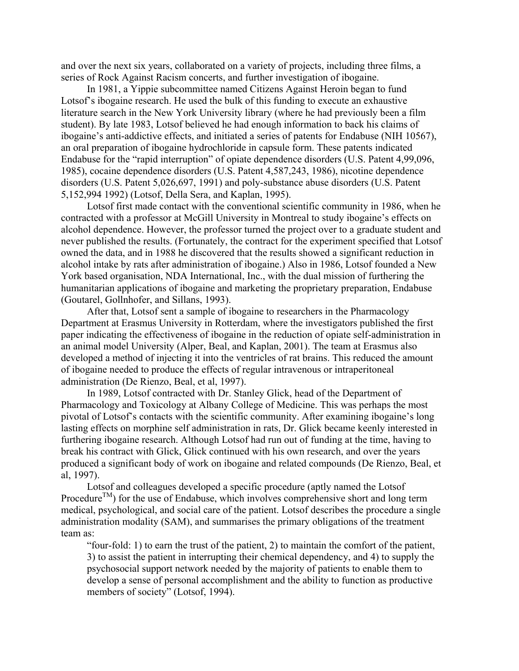and over the next six years, collaborated on a variety of projects, including three films, a series of Rock Against Racism concerts, and further investigation of ibogaine.

In 1981, a Yippie subcommittee named Citizens Against Heroin began to fund Lotsof's ibogaine research. He used the bulk of this funding to execute an exhaustive literature search in the New York University library (where he had previously been a film student). By late 1983, Lotsof believed he had enough information to back his claims of ibogaine's anti-addictive effects, and initiated a series of patents for Endabuse (NIH 10567), an oral preparation of ibogaine hydrochloride in capsule form. These patents indicated Endabuse for the "rapid interruption" of opiate dependence disorders (U.S. Patent 4,99,096, 1985), cocaine dependence disorders (U.S. Patent 4,587,243, 1986), nicotine dependence disorders (U.S. Patent 5,026,697, 1991) and poly-substance abuse disorders (U.S. Patent 5,152,994 1992) (Lotsof, Della Sera, and Kaplan, 1995).

Lotsof first made contact with the conventional scientific community in 1986, when he contracted with a professor at McGill University in Montreal to study ibogaine's effects on alcohol dependence. However, the professor turned the project over to a graduate student and never published the results. (Fortunately, the contract for the experiment specified that Lotsof owned the data, and in 1988 he discovered that the results showed a significant reduction in alcohol intake by rats after administration of ibogaine.) Also in 1986, Lotsof founded a New York based organisation, NDA International, Inc., with the dual mission of furthering the humanitarian applications of ibogaine and marketing the proprietary preparation, Endabuse (Goutarel, Gollnhofer, and Sillans, 1993).

After that, Lotsof sent a sample of ibogaine to researchers in the Pharmacology Department at Erasmus University in Rotterdam, where the investigators published the first paper indicating the effectiveness of ibogaine in the reduction of opiate self-administration in an animal model University (Alper, Beal, and Kaplan, 2001). The team at Erasmus also developed a method of injecting it into the ventricles of rat brains. This reduced the amount of ibogaine needed to produce the effects of regular intravenous or intraperitoneal administration (De Rienzo, Beal, et al, 1997).

In 1989, Lotsof contracted with Dr. Stanley Glick, head of the Department of Pharmacology and Toxicology at Albany College of Medicine. This was perhaps the most pivotal of Lotsof's contacts with the scientific community. After examining ibogaine's long lasting effects on morphine self administration in rats, Dr. Glick became keenly interested in furthering ibogaine research. Although Lotsof had run out of funding at the time, having to break his contract with Glick, Glick continued with his own research, and over the years produced a significant body of work on ibogaine and related compounds (De Rienzo, Beal, et al, 1997).

Lotsof and colleagues developed a specific procedure (aptly named the Lotsof Procedure<sup>TM</sup>) for the use of Endabuse, which involves comprehensive short and long term medical, psychological, and social care of the patient. Lotsof describes the procedure a single administration modality (SAM), and summarises the primary obligations of the treatment team as:

"four-fold: 1) to earn the trust of the patient, 2) to maintain the comfort of the patient, 3) to assist the patient in interrupting their chemical dependency, and 4) to supply the psychosocial support network needed by the majority of patients to enable them to develop a sense of personal accomplishment and the ability to function as productive members of society" (Lotsof, 1994).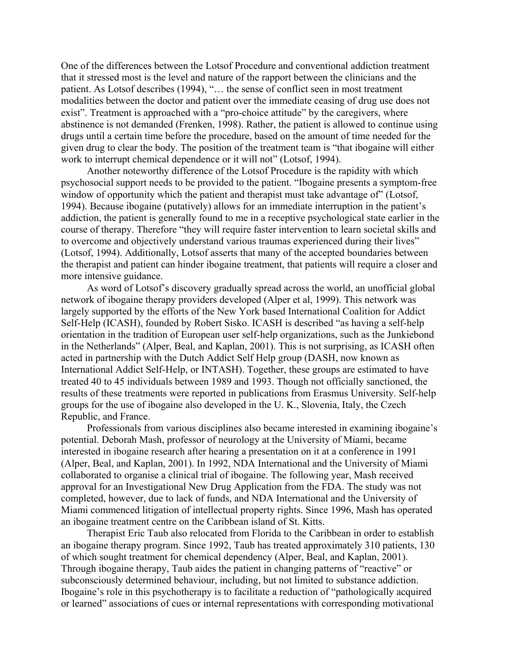One of the differences between the Lotsof Procedure and conventional addiction treatment that it stressed most is the level and nature of the rapport between the clinicians and the patient. As Lotsof describes (1994), "… the sense of conflict seen in most treatment modalities between the doctor and patient over the immediate ceasing of drug use does not exist". Treatment is approached with a "pro-choice attitude" by the caregivers, where abstinence is not demanded (Frenken, 1998). Rather, the patient is allowed to continue using drugs until a certain time before the procedure, based on the amount of time needed for the given drug to clear the body. The position of the treatment team is "that ibogaine will either work to interrupt chemical dependence or it will not" (Lotsof, 1994).

Another noteworthy difference of the Lotsof Procedure is the rapidity with which psychosocial support needs to be provided to the patient. "Ibogaine presents a symptom-free window of opportunity which the patient and therapist must take advantage of" (Lotsof, 1994). Because ibogaine (putatively) allows for an immediate interruption in the patient's addiction, the patient is generally found to me in a receptive psychological state earlier in the course of therapy. Therefore "they will require faster intervention to learn societal skills and to overcome and objectively understand various traumas experienced during their lives" (Lotsof, 1994). Additionally, Lotsof asserts that many of the accepted boundaries between the therapist and patient can hinder ibogaine treatment, that patients will require a closer and more intensive guidance.

As word of Lotsof's discovery gradually spread across the world, an unofficial global network of ibogaine therapy providers developed (Alper et al, 1999). This network was largely supported by the efforts of the New York based International Coalition for Addict Self-Help (ICASH), founded by Robert Sisko. ICASH is described "as having a self-help orientation in the tradition of European user self-help organizations, such as the Junkiebond in the Netherlands" (Alper, Beal, and Kaplan, 2001). This is not surprising, as ICASH often acted in partnership with the Dutch Addict Self Help group (DASH, now known as International Addict Self-Help, or INTASH). Together, these groups are estimated to have treated 40 to 45 individuals between 1989 and 1993. Though not officially sanctioned, the results of these treatments were reported in publications from Erasmus University. Self-help groups for the use of ibogaine also developed in the U. K., Slovenia, Italy, the Czech Republic, and France.

Professionals from various disciplines also became interested in examining ibogaine's potential. Deborah Mash, professor of neurology at the University of Miami, became interested in ibogaine research after hearing a presentation on it at a conference in 1991 (Alper, Beal, and Kaplan, 2001). In 1992, NDA International and the University of Miami collaborated to organise a clinical trial of ibogaine. The following year, Mash received approval for an Investigational New Drug Application from the FDA. The study was not completed, however, due to lack of funds, and NDA International and the University of Miami commenced litigation of intellectual property rights. Since 1996, Mash has operated an ibogaine treatment centre on the Caribbean island of St. Kitts.

Therapist Eric Taub also relocated from Florida to the Caribbean in order to establish an ibogaine therapy program. Since 1992, Taub has treated approximately 310 patients, 130 of which sought treatment for chemical dependency (Alper, Beal, and Kaplan, 2001). Through ibogaine therapy, Taub aides the patient in changing patterns of "reactive" or subconsciously determined behaviour, including, but not limited to substance addiction. Ibogaine's role in this psychotherapy is to facilitate a reduction of "pathologically acquired or learned" associations of cues or internal representations with corresponding motivational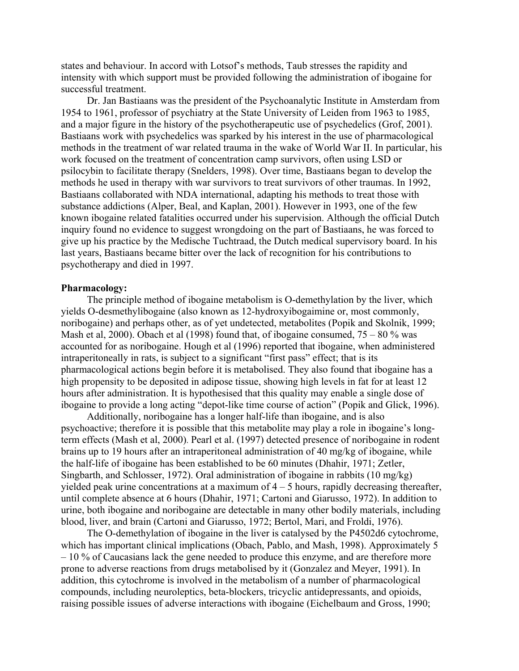states and behaviour. In accord with Lotsof's methods, Taub stresses the rapidity and intensity with which support must be provided following the administration of ibogaine for successful treatment.

Dr. Jan Bastiaans was the president of the Psychoanalytic Institute in Amsterdam from 1954 to 1961, professor of psychiatry at the State University of Leiden from 1963 to 1985, and a major figure in the history of the psychotherapeutic use of psychedelics (Grof, 2001). Bastiaans work with psychedelics was sparked by his interest in the use of pharmacological methods in the treatment of war related trauma in the wake of World War II. In particular, his work focused on the treatment of concentration camp survivors, often using LSD or psilocybin to facilitate therapy (Snelders, 1998). Over time, Bastiaans began to develop the methods he used in therapy with war survivors to treat survivors of other traumas. In 1992, Bastiaans collaborated with NDA international, adapting his methods to treat those with substance addictions (Alper, Beal, and Kaplan, 2001). However in 1993, one of the few known ibogaine related fatalities occurred under his supervision. Although the official Dutch inquiry found no evidence to suggest wrongdoing on the part of Bastiaans, he was forced to give up his practice by the Medische Tuchtraad, the Dutch medical supervisory board. In his last years, Bastiaans became bitter over the lack of recognition for his contributions to psychotherapy and died in 1997.

#### **Pharmacology:**

The principle method of ibogaine metabolism is O-demethylation by the liver, which yields O-desmethylibogaine (also known as 12-hydroxyibogaimine or, most commonly, noribogaine) and perhaps other, as of yet undetected, metabolites (Popik and Skolnik, 1999; Mash et al, 2000). Obach et al (1998) found that, of ibogaine consumed,  $75 - 80\%$  was accounted for as noribogaine. Hough et al (1996) reported that ibogaine, when administered intraperitoneally in rats, is subject to a significant "first pass" effect; that is its pharmacological actions begin before it is metabolised. They also found that ibogaine has a high propensity to be deposited in adipose tissue, showing high levels in fat for at least 12 hours after administration. It is hypothesised that this quality may enable a single dose of ibogaine to provide a long acting "depot-like time course of action" (Popik and Glick, 1996).

Additionally, noribogaine has a longer half-life than ibogaine, and is also psychoactive; therefore it is possible that this metabolite may play a role in ibogaine's longterm effects (Mash et al, 2000). Pearl et al. (1997) detected presence of noribogaine in rodent brains up to 19 hours after an intraperitoneal administration of 40 mg/kg of ibogaine, while the half-life of ibogaine has been established to be 60 minutes (Dhahir, 1971; Zetler, Singbarth, and Schlosser, 1972). Oral administration of ibogaine in rabbits (10 mg/kg) yielded peak urine concentrations at a maximum of  $4 - 5$  hours, rapidly decreasing thereafter, until complete absence at 6 hours (Dhahir, 1971; Cartoni and Giarusso, 1972). In addition to urine, both ibogaine and noribogaine are detectable in many other bodily materials, including blood, liver, and brain (Cartoni and Giarusso, 1972; Bertol, Mari, and Froldi, 1976).

The O-demethylation of ibogaine in the liver is catalysed by the P4502d6 cytochrome, which has important clinical implications (Obach, Pablo, and Mash, 1998). Approximately 5 – 10 % of Caucasians lack the gene needed to produce this enzyme, and are therefore more prone to adverse reactions from drugs metabolised by it (Gonzalez and Meyer, 1991). In addition, this cytochrome is involved in the metabolism of a number of pharmacological compounds, including neuroleptics, beta-blockers, tricyclic antidepressants, and opioids, raising possible issues of adverse interactions with ibogaine (Eichelbaum and Gross, 1990;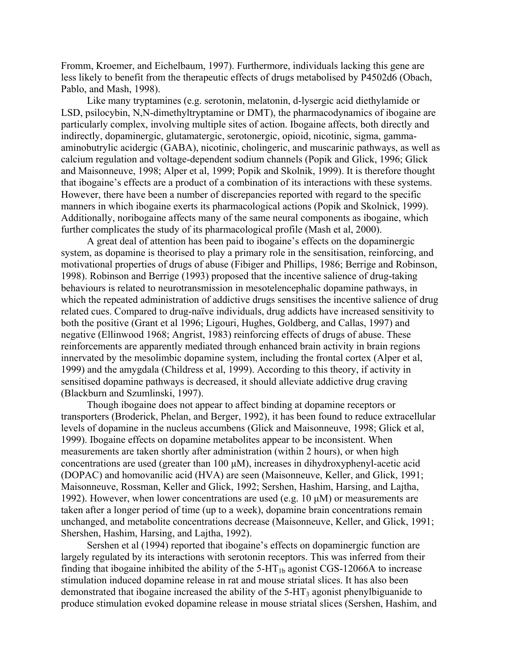Fromm, Kroemer, and Eichelbaum, 1997). Furthermore, individuals lacking this gene are less likely to benefit from the therapeutic effects of drugs metabolised by P4502d6 (Obach, Pablo, and Mash, 1998).

Like many tryptamines (e.g. serotonin, melatonin, d-lysergic acid diethylamide or LSD, psilocybin, N,N-dimethyltryptamine or DMT), the pharmacodynamics of ibogaine are particularly complex, involving multiple sites of action. Ibogaine affects, both directly and indirectly, dopaminergic, glutamatergic, serotonergic, opioid, nicotinic, sigma, gammaaminobutrylic acidergic (GABA), nicotinic, cholingeric, and muscarinic pathways, as well as calcium regulation and voltage-dependent sodium channels (Popik and Glick, 1996; Glick and Maisonneuve, 1998; Alper et al, 1999; Popik and Skolnik, 1999). It is therefore thought that ibogaine's effects are a product of a combination of its interactions with these systems. However, there have been a number of discrepancies reported with regard to the specific manners in which ibogaine exerts its pharmacological actions (Popik and Skolnick, 1999). Additionally, noribogaine affects many of the same neural components as ibogaine, which further complicates the study of its pharmacological profile (Mash et al, 2000).

A great deal of attention has been paid to ibogaine's effects on the dopaminergic system, as dopamine is theorised to play a primary role in the sensitisation, reinforcing, and motivational properties of drugs of abuse (Fibiger and Phillips, 1986; Berrige and Robinson, 1998). Robinson and Berrige (1993) proposed that the incentive salience of drug-taking behaviours is related to neurotransmission in mesotelencephalic dopamine pathways, in which the repeated administration of addictive drugs sensitises the incentive salience of drug related cues. Compared to drug-naïve individuals, drug addicts have increased sensitivity to both the positive (Grant et al 1996; Ligouri, Hughes, Goldberg, and Callas, 1997) and negative (Ellinwood 1968; Angrist, 1983) reinforcing effects of drugs of abuse. These reinforcements are apparently mediated through enhanced brain activity in brain regions innervated by the mesolimbic dopamine system, including the frontal cortex (Alper et al, 1999) and the amygdala (Childress et al, 1999). According to this theory, if activity in sensitised dopamine pathways is decreased, it should alleviate addictive drug craving (Blackburn and Szumlinski, 1997).

Though ibogaine does not appear to affect binding at dopamine receptors or transporters (Broderick, Phelan, and Berger, 1992), it has been found to reduce extracellular levels of dopamine in the nucleus accumbens (Glick and Maisonneuve, 1998; Glick et al, 1999). Ibogaine effects on dopamine metabolites appear to be inconsistent. When measurements are taken shortly after administration (within 2 hours), or when high concentrations are used (greater than 100 µM), increases in dihydroxyphenyl-acetic acid (DOPAC) and homovanilic acid (HVA) are seen (Maisonneuve, Keller, and Glick, 1991; Maisonneuve, Rossman, Keller and Glick, 1992; Sershen, Hashim, Harsing, and Lajtha, 1992). However, when lower concentrations are used (e.g. 10  $\mu$ M) or measurements are taken after a longer period of time (up to a week), dopamine brain concentrations remain unchanged, and metabolite concentrations decrease (Maisonneuve, Keller, and Glick, 1991; Shershen, Hashim, Harsing, and Lajtha, 1992).

Sershen et al (1994) reported that ibogaine's effects on dopaminergic function are largely regulated by its interactions with serotonin receptors. This was inferred from their finding that ibogaine inhibited the ability of the  $5-HT_{1b}$  agonist CGS-12066A to increase stimulation induced dopamine release in rat and mouse striatal slices. It has also been demonstrated that ibogaine increased the ability of the  $5-HT<sub>3</sub>$  agonist phenylbiguanide to produce stimulation evoked dopamine release in mouse striatal slices (Sershen, Hashim, and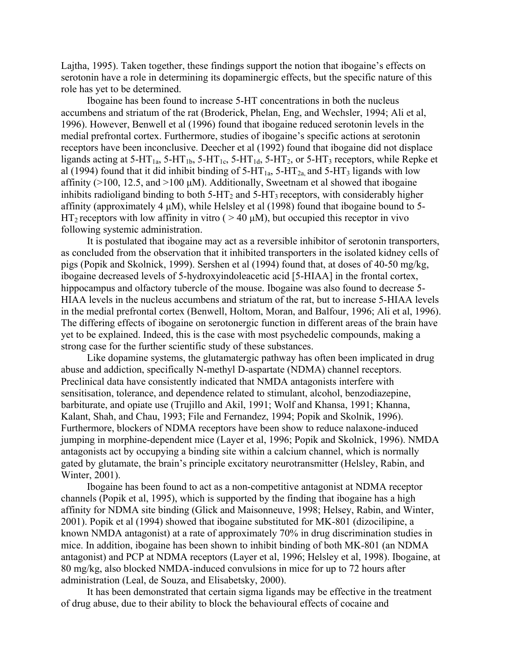Lajtha, 1995). Taken together, these findings support the notion that ibogaine's effects on serotonin have a role in determining its dopaminergic effects, but the specific nature of this role has yet to be determined.

Ibogaine has been found to increase 5-HT concentrations in both the nucleus accumbens and striatum of the rat (Broderick, Phelan, Eng, and Wechsler, 1994; Ali et al, 1996). However, Benwell et al (1996) found that ibogaine reduced serotonin levels in the medial prefrontal cortex. Furthermore, studies of ibogaine's specific actions at serotonin receptors have been inconclusive. Deecher et al (1992) found that ibogaine did not displace ligands acting at 5-HT<sub>1a</sub>, 5-HT<sub>1b</sub>, 5-HT<sub>1c</sub>, 5-HT<sub>1d</sub>, 5-HT<sub>2</sub>, or 5-HT<sub>3</sub> receptors, while Repke et al (1994) found that it did inhibit binding of  $5-HT_{1a}$ ,  $5-HT_{2a}$  and  $5-HT_3$  ligands with low affinity ( $>100$ , 12.5, and  $>100 \mu M$ ). Additionally, Sweetnam et al showed that ibogaine inhibits radioligand binding to both  $5-\text{HT}_2$  and  $5-\text{HT}_3$  receptors, with considerably higher affinity (approximately 4  $\mu$ M), while Helsley et al (1998) found that ibogaine bound to 5- $HT_2$  receptors with low affinity in vitro (  $> 40 \mu M$ ), but occupied this receptor in vivo following systemic administration.

It is postulated that ibogaine may act as a reversible inhibitor of serotonin transporters, as concluded from the observation that it inhibited transporters in the isolated kidney cells of pigs (Popik and Skolnick, 1999). Sershen et al (1994) found that, at doses of 40-50 mg/kg, ibogaine decreased levels of 5-hydroxyindoleacetic acid [5-HIAA] in the frontal cortex, hippocampus and olfactory tubercle of the mouse. Ibogaine was also found to decrease 5-HIAA levels in the nucleus accumbens and striatum of the rat, but to increase 5-HIAA levels in the medial prefrontal cortex (Benwell, Holtom, Moran, and Balfour, 1996; Ali et al, 1996). The differing effects of ibogaine on serotonergic function in different areas of the brain have yet to be explained. Indeed, this is the case with most psychedelic compounds, making a strong case for the further scientific study of these substances.

Like dopamine systems, the glutamatergic pathway has often been implicated in drug abuse and addiction, specifically N-methyl D-aspartate (NDMA) channel receptors. Preclinical data have consistently indicated that NMDA antagonists interfere with sensitisation, tolerance, and dependence related to stimulant, alcohol, benzodiazepine, barbiturate, and opiate use (Trujillo and Akil, 1991; Wolf and Khansa, 1991; Khanna, Kalant, Shah, and Chau, 1993; File and Fernandez, 1994; Popik and Skolnik, 1996). Furthermore, blockers of NDMA receptors have been show to reduce nalaxone-induced jumping in morphine-dependent mice (Layer et al, 1996; Popik and Skolnick, 1996). NMDA antagonists act by occupying a binding site within a calcium channel, which is normally gated by glutamate, the brain's principle excitatory neurotransmitter (Helsley, Rabin, and Winter, 2001).

Ibogaine has been found to act as a non-competitive antagonist at NDMA receptor channels (Popik et al, 1995), which is supported by the finding that ibogaine has a high affinity for NDMA site binding (Glick and Maisonneuve, 1998; Helsey, Rabin, and Winter, 2001). Popik et al (1994) showed that ibogaine substituted for MK-801 (dizocilipine, a known NMDA antagonist) at a rate of approximately 70% in drug discrimination studies in mice. In addition, ibogaine has been shown to inhibit binding of both MK-801 (an NDMA antagonist) and PCP at NDMA receptors (Layer et al, 1996; Helsley et al, 1998). Ibogaine, at 80 mg/kg, also blocked NMDA-induced convulsions in mice for up to 72 hours after administration (Leal, de Souza, and Elisabetsky, 2000).

It has been demonstrated that certain sigma ligands may be effective in the treatment of drug abuse, due to their ability to block the behavioural effects of cocaine and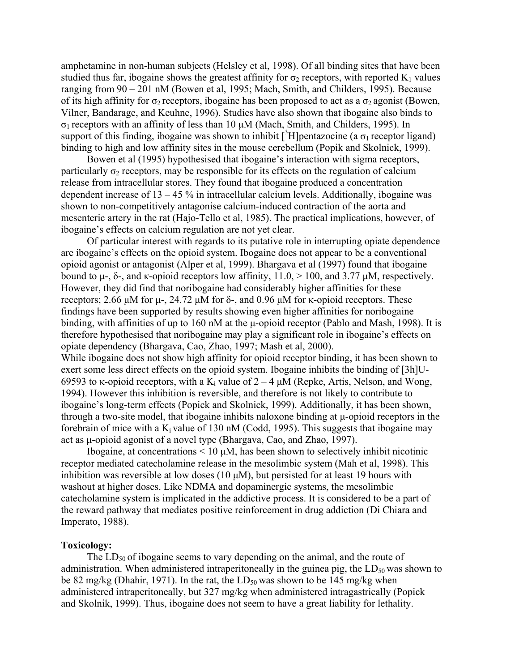amphetamine in non-human subjects (Helsley et al, 1998). Of all binding sites that have been studied thus far, ibogaine shows the greatest affinity for  $\sigma_2$  receptors, with reported K<sub>1</sub> values ranging from 90 – 201 nM (Bowen et al, 1995; Mach, Smith, and Childers, 1995). Because of its high affinity for  $\sigma_2$  receptors, ibogaine has been proposed to act as a  $\sigma_2$  agonist (Bowen, Vilner, Bandarage, and Keuhne, 1996). Studies have also shown that ibogaine also binds to σ1 receptors with an affinity of less than 10 µM (Mach, Smith, and Childers, 1995). In support of this finding, ibogaine was shown to inhibit [ $3H$ ]pentazocine (a  $\sigma_1$  receptor ligand) binding to high and low affinity sites in the mouse cerebellum (Popik and Skolnick, 1999).

Bowen et al (1995) hypothesised that ibogaine's interaction with sigma receptors, particularly  $\sigma_2$  receptors, may be responsible for its effects on the regulation of calcium release from intracellular stores. They found that ibogaine produced a concentration dependent increase of  $13 - 45$ % in intracellular calcium levels. Additionally, ibogaine was shown to non-competitively antagonise calcium-induced contraction of the aorta and mesenteric artery in the rat (Hajo-Tello et al, 1985). The practical implications, however, of ibogaine's effects on calcium regulation are not yet clear.

Of particular interest with regards to its putative role in interrupting opiate dependence are ibogaine's effects on the opioid system. Ibogaine does not appear to be a conventional opioid agonist or antagonist (Alper et al, 1999). Bhargava et al (1997) found that ibogaine bound to  $\mu$ -, δ-, and  $\kappa$ -opioid receptors low affinity, 11.0,  $> 100$ , and 3.77  $\mu$ M, respectively. However, they did find that noribogaine had considerably higher affinities for these receptors; 2.66 μM for μ-, 24.72 μM for δ-, and 0.96 μM for κ-opioid receptors. These findings have been supported by results showing even higher affinities for noribogaine binding, with affinities of up to 160 nM at the µ-opioid receptor (Pablo and Mash, 1998). It is therefore hypothesised that noribogaine may play a significant role in ibogaine's effects on opiate dependency (Bhargava, Cao, Zhao, 1997; Mash et al, 2000).

While ibogaine does not show high affinity for opioid receptor binding, it has been shown to exert some less direct effects on the opioid system. Ibogaine inhibits the binding of [3h]U-69593 to κ-opioid receptors, with a K<sub>i</sub> value of  $2 - 4 \mu M$  (Repke, Artis, Nelson, and Wong, 1994). However this inhibition is reversible, and therefore is not likely to contribute to ibogaine's long-term effects (Popick and Skolnick, 1999). Additionally, it has been shown, through a two-site model, that ibogaine inhibits naloxone binding at µ-opioid receptors in the forebrain of mice with a  $K_i$  value of 130 nM (Codd, 1995). This suggests that ibogaine may act as µ-opioid agonist of a novel type (Bhargava, Cao, and Zhao, 1997).

Ibogaine, at concentrations  $\leq 10 \mu M$ , has been shown to selectively inhibit nicotinic receptor mediated catecholamine release in the mesolimbic system (Mah et al, 1998). This inhibition was reversible at low doses  $(10 \mu M)$ , but persisted for at least 19 hours with washout at higher doses. Like NDMA and dopaminergic systems, the mesolimbic catecholamine system is implicated in the addictive process. It is considered to be a part of the reward pathway that mediates positive reinforcement in drug addiction (Di Chiara and Imperato, 1988).

## **Toxicology:**

The  $LD_{50}$  of ibogaine seems to vary depending on the animal, and the route of administration. When administered intraperitoneally in the guinea pig, the  $LD_{50}$  was shown to be 82 mg/kg (Dhahir, 1971). In the rat, the  $LD_{50}$  was shown to be 145 mg/kg when administered intraperitoneally, but 327 mg/kg when administered intragastrically (Popick and Skolnik, 1999). Thus, ibogaine does not seem to have a great liability for lethality.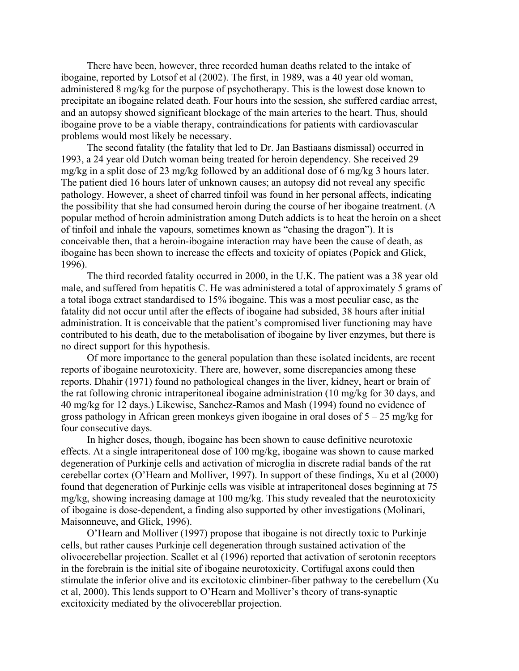There have been, however, three recorded human deaths related to the intake of ibogaine, reported by Lotsof et al (2002). The first, in 1989, was a 40 year old woman, administered 8 mg/kg for the purpose of psychotherapy. This is the lowest dose known to precipitate an ibogaine related death. Four hours into the session, she suffered cardiac arrest, and an autopsy showed significant blockage of the main arteries to the heart. Thus, should ibogaine prove to be a viable therapy, contraindications for patients with cardiovascular problems would most likely be necessary.

The second fatality (the fatality that led to Dr. Jan Bastiaans dismissal) occurred in 1993, a 24 year old Dutch woman being treated for heroin dependency. She received 29 mg/kg in a split dose of 23 mg/kg followed by an additional dose of 6 mg/kg 3 hours later. The patient died 16 hours later of unknown causes; an autopsy did not reveal any specific pathology. However, a sheet of charred tinfoil was found in her personal affects, indicating the possibility that she had consumed heroin during the course of her ibogaine treatment. (A popular method of heroin administration among Dutch addicts is to heat the heroin on a sheet of tinfoil and inhale the vapours, sometimes known as "chasing the dragon"). It is conceivable then, that a heroin-ibogaine interaction may have been the cause of death, as ibogaine has been shown to increase the effects and toxicity of opiates (Popick and Glick, 1996).

The third recorded fatality occurred in 2000, in the U.K. The patient was a 38 year old male, and suffered from hepatitis C. He was administered a total of approximately 5 grams of a total iboga extract standardised to 15% ibogaine. This was a most peculiar case, as the fatality did not occur until after the effects of ibogaine had subsided, 38 hours after initial administration. It is conceivable that the patient's compromised liver functioning may have contributed to his death, due to the metabolisation of ibogaine by liver enzymes, but there is no direct support for this hypothesis.

Of more importance to the general population than these isolated incidents, are recent reports of ibogaine neurotoxicity. There are, however, some discrepancies among these reports. Dhahir (1971) found no pathological changes in the liver, kidney, heart or brain of the rat following chronic intraperitoneal ibogaine administration (10 mg/kg for 30 days, and 40 mg/kg for 12 days.) Likewise, Sanchez-Ramos and Mash (1994) found no evidence of gross pathology in African green monkeys given ibogaine in oral doses of  $5 - 25$  mg/kg for four consecutive days.

In higher doses, though, ibogaine has been shown to cause definitive neurotoxic effects. At a single intraperitoneal dose of 100 mg/kg, ibogaine was shown to cause marked degeneration of Purkinje cells and activation of microglia in discrete radial bands of the rat cerebellar cortex (O'Hearn and Molliver, 1997). In support of these findings, Xu et al (2000) found that degeneration of Purkinje cells was visible at intraperitoneal doses beginning at 75 mg/kg, showing increasing damage at 100 mg/kg. This study revealed that the neurotoxicity of ibogaine is dose-dependent, a finding also supported by other investigations (Molinari, Maisonneuve, and Glick, 1996).

O'Hearn and Molliver (1997) propose that ibogaine is not directly toxic to Purkinje cells, but rather causes Purkinje cell degeneration through sustained activation of the olivocerebellar projection. Scallet et al (1996) reported that activation of serotonin receptors in the forebrain is the initial site of ibogaine neurotoxicity. Cortifugal axons could then stimulate the inferior olive and its excitotoxic climbiner-fiber pathway to the cerebellum (Xu et al, 2000). This lends support to O'Hearn and Molliver's theory of trans-synaptic excitoxicity mediated by the olivocerebllar projection.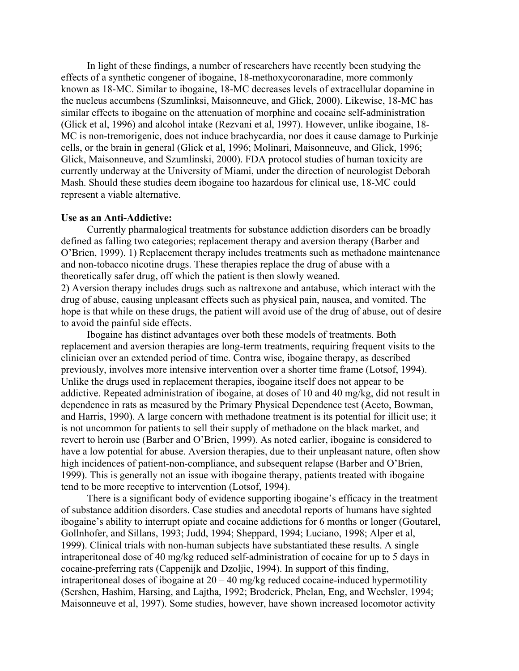In light of these findings, a number of researchers have recently been studying the effects of a synthetic congener of ibogaine, 18-methoxycoronaradine, more commonly known as 18-MC. Similar to ibogaine, 18-MC decreases levels of extracellular dopamine in the nucleus accumbens (Szumlinksi, Maisonneuve, and Glick, 2000). Likewise, 18-MC has similar effects to ibogaine on the attenuation of morphine and cocaine self-administration (Glick et al, 1996) and alcohol intake (Rezvani et al, 1997). However, unlike ibogaine, 18- MC is non-tremorigenic, does not induce brachycardia, nor does it cause damage to Purkinje cells, or the brain in general (Glick et al, 1996; Molinari, Maisonneuve, and Glick, 1996; Glick, Maisonneuve, and Szumlinski, 2000). FDA protocol studies of human toxicity are currently underway at the University of Miami, under the direction of neurologist Deborah Mash. Should these studies deem ibogaine too hazardous for clinical use, 18-MC could represent a viable alternative.

#### **Use as an Anti-Addictive:**

Currently pharmalogical treatments for substance addiction disorders can be broadly defined as falling two categories; replacement therapy and aversion therapy (Barber and O'Brien, 1999). 1) Replacement therapy includes treatments such as methadone maintenance and non-tobacco nicotine drugs. These therapies replace the drug of abuse with a theoretically safer drug, off which the patient is then slowly weaned.

2) Aversion therapy includes drugs such as naltrexone and antabuse, which interact with the drug of abuse, causing unpleasant effects such as physical pain, nausea, and vomited. The hope is that while on these drugs, the patient will avoid use of the drug of abuse, out of desire to avoid the painful side effects.

Ibogaine has distinct advantages over both these models of treatments. Both replacement and aversion therapies are long-term treatments, requiring frequent visits to the clinician over an extended period of time. Contra wise, ibogaine therapy, as described previously, involves more intensive intervention over a shorter time frame (Lotsof, 1994). Unlike the drugs used in replacement therapies, ibogaine itself does not appear to be addictive. Repeated administration of ibogaine, at doses of 10 and 40 mg/kg, did not result in dependence in rats as measured by the Primary Physical Dependence test (Aceto, Bowman, and Harris, 1990). A large concern with methadone treatment is its potential for illicit use; it is not uncommon for patients to sell their supply of methadone on the black market, and revert to heroin use (Barber and O'Brien, 1999). As noted earlier, ibogaine is considered to have a low potential for abuse. Aversion therapies, due to their unpleasant nature, often show high incidences of patient-non-compliance, and subsequent relapse (Barber and O'Brien, 1999). This is generally not an issue with ibogaine therapy, patients treated with ibogaine tend to be more receptive to intervention (Lotsof, 1994).

There is a significant body of evidence supporting ibogaine's efficacy in the treatment of substance addition disorders. Case studies and anecdotal reports of humans have sighted ibogaine's ability to interrupt opiate and cocaine addictions for 6 months or longer (Goutarel, Gollnhofer, and Sillans, 1993; Judd, 1994; Sheppard, 1994; Luciano, 1998; Alper et al, 1999). Clinical trials with non-human subjects have substantiated these results. A single intraperitoneal dose of 40 mg/kg reduced self-administration of cocaine for up to 5 days in cocaine-preferring rats (Cappenijk and Dzoljic, 1994). In support of this finding, intraperitoneal doses of ibogaine at 20 – 40 mg/kg reduced cocaine-induced hypermotility (Sershen, Hashim, Harsing, and Lajtha, 1992; Broderick, Phelan, Eng, and Wechsler, 1994; Maisonneuve et al, 1997). Some studies, however, have shown increased locomotor activity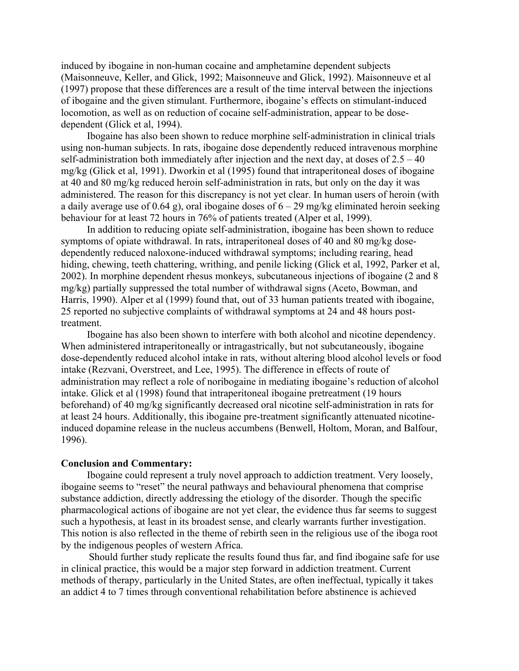induced by ibogaine in non-human cocaine and amphetamine dependent subjects (Maisonneuve, Keller, and Glick, 1992; Maisonneuve and Glick, 1992). Maisonneuve et al (1997) propose that these differences are a result of the time interval between the injections of ibogaine and the given stimulant. Furthermore, ibogaine's effects on stimulant-induced locomotion, as well as on reduction of cocaine self-administration, appear to be dosedependent (Glick et al, 1994).

Ibogaine has also been shown to reduce morphine self-administration in clinical trials using non-human subjects. In rats, ibogaine dose dependently reduced intravenous morphine self-administration both immediately after injection and the next day, at doses of  $2.5 - 40$ mg/kg (Glick et al, 1991). Dworkin et al (1995) found that intraperitoneal doses of ibogaine at 40 and 80 mg/kg reduced heroin self-administration in rats, but only on the day it was administered. The reason for this discrepancy is not yet clear. In human users of heroin (with a daily average use of 0.64 g), oral ibogaine doses of  $6 - 29$  mg/kg eliminated heroin seeking behaviour for at least 72 hours in 76% of patients treated (Alper et al, 1999).

In addition to reducing opiate self-administration, ibogaine has been shown to reduce symptoms of opiate withdrawal. In rats, intraperitoneal doses of 40 and 80 mg/kg dosedependently reduced naloxone-induced withdrawal symptoms; including rearing, head hiding, chewing, teeth chattering, writhing, and penile licking (Glick et al, 1992, Parker et al, 2002). In morphine dependent rhesus monkeys, subcutaneous injections of ibogaine (2 and 8 mg/kg) partially suppressed the total number of withdrawal signs (Aceto, Bowman, and Harris, 1990). Alper et al (1999) found that, out of 33 human patients treated with ibogaine, 25 reported no subjective complaints of withdrawal symptoms at 24 and 48 hours posttreatment.

Ibogaine has also been shown to interfere with both alcohol and nicotine dependency. When administered intraperitoneally or intragastrically, but not subcutaneously, ibogaine dose-dependently reduced alcohol intake in rats, without altering blood alcohol levels or food intake (Rezvani, Overstreet, and Lee, 1995). The difference in effects of route of administration may reflect a role of noribogaine in mediating ibogaine's reduction of alcohol intake. Glick et al (1998) found that intraperitoneal ibogaine pretreatment (19 hours beforehand) of 40 mg/kg significantly decreased oral nicotine self-administration in rats for at least 24 hours. Additionally, this ibogaine pre-treatment significantly attenuated nicotineinduced dopamine release in the nucleus accumbens (Benwell, Holtom, Moran, and Balfour, 1996).

#### **Conclusion and Commentary:**

Ibogaine could represent a truly novel approach to addiction treatment. Very loosely, ibogaine seems to "reset" the neural pathways and behavioural phenomena that comprise substance addiction, directly addressing the etiology of the disorder. Though the specific pharmacological actions of ibogaine are not yet clear, the evidence thus far seems to suggest such a hypothesis, at least in its broadest sense, and clearly warrants further investigation. This notion is also reflected in the theme of rebirth seen in the religious use of the iboga root by the indigenous peoples of western Africa.

 Should further study replicate the results found thus far, and find ibogaine safe for use in clinical practice, this would be a major step forward in addiction treatment. Current methods of therapy, particularly in the United States, are often ineffectual, typically it takes an addict 4 to 7 times through conventional rehabilitation before abstinence is achieved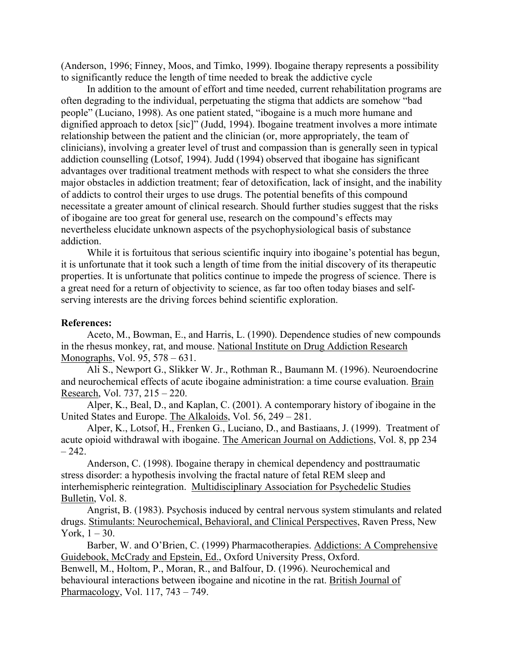(Anderson, 1996; Finney, Moos, and Timko, 1999). Ibogaine therapy represents a possibility to significantly reduce the length of time needed to break the addictive cycle

In addition to the amount of effort and time needed, current rehabilitation programs are often degrading to the individual, perpetuating the stigma that addicts are somehow "bad people" (Luciano, 1998). As one patient stated, "ibogaine is a much more humane and dignified approach to detox [sic]" (Judd, 1994). Ibogaine treatment involves a more intimate relationship between the patient and the clinician (or, more appropriately, the team of clinicians), involving a greater level of trust and compassion than is generally seen in typical addiction counselling (Lotsof, 1994). Judd (1994) observed that ibogaine has significant advantages over traditional treatment methods with respect to what she considers the three major obstacles in addiction treatment; fear of detoxification, lack of insight, and the inability of addicts to control their urges to use drugs. The potential benefits of this compound necessitate a greater amount of clinical research. Should further studies suggest that the risks of ibogaine are too great for general use, research on the compound's effects may nevertheless elucidate unknown aspects of the psychophysiological basis of substance addiction.

While it is fortuitous that serious scientific inquiry into ibogaine's potential has begun, it is unfortunate that it took such a length of time from the initial discovery of its therapeutic properties. It is unfortunate that politics continue to impede the progress of science. There is a great need for a return of objectivity to science, as far too often today biases and selfserving interests are the driving forces behind scientific exploration.

## **References:**

Aceto, M., Bowman, E., and Harris, L. (1990). Dependence studies of new compounds in the rhesus monkey, rat, and mouse. National Institute on Drug Addiction Research Monographs, Vol. 95, 578 – 631.

Ali S., Newport G., Slikker W. Jr., Rothman R., Baumann M. (1996). Neuroendocrine and neurochemical effects of acute ibogaine administration: a time course evaluation. Brain Research, Vol. 737, 215 – 220.

Alper, K., Beal, D., and Kaplan, C. (2001). A contemporary history of ibogaine in the United States and Europe. The Alkaloids, Vol. 56, 249 – 281.

Alper, K., Lotsof, H., Frenken G., Luciano, D., and Bastiaans, J. (1999). Treatment of acute opioid withdrawal with ibogaine. The American Journal on Addictions, Vol. 8, pp 234  $-242.$ 

Anderson, C. (1998). Ibogaine therapy in chemical dependency and posttraumatic stress disorder: a hypothesis involving the fractal nature of fetal REM sleep and interhemispheric reintegration. Multidisciplinary Association for Psychedelic Studies Bulletin, Vol. 8.

Angrist, B. (1983). Psychosis induced by central nervous system stimulants and related drugs. Stimulants: Neurochemical, Behavioral, and Clinical Perspectives, Raven Press, New York,  $1 - 30$ .

Barber, W. and O'Brien, C. (1999) Pharmacotherapies. Addictions: A Comprehensive Guidebook, McCrady and Epstein, Ed., Oxford University Press, Oxford. Benwell, M., Holtom, P., Moran, R., and Balfour, D. (1996). Neurochemical and

behavioural interactions between ibogaine and nicotine in the rat. British Journal of Pharmacology, Vol. 117, 743 – 749.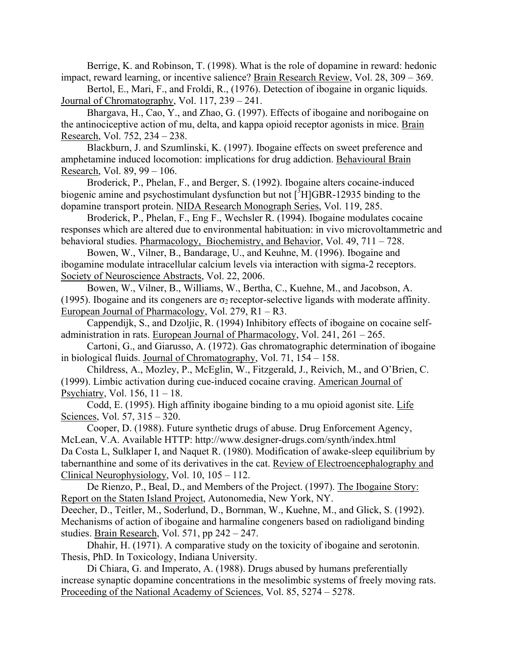Berrige, K. and Robinson, T. (1998). What is the role of dopamine in reward: hedonic impact, reward learning, or incentive salience? Brain Research Review, Vol. 28, 309 – 369.

Bertol, E., Mari, F., and Froldi, R., (1976). Detection of ibogaine in organic liquids. Journal of Chromatography, Vol. 117, 239 – 241.

Bhargava, H., Cao, Y., and Zhao, G. (1997). Effects of ibogaine and noribogaine on the antinociceptive action of mu, delta, and kappa opioid receptor agonists in mice. Brain Research, Vol. 752, 234 – 238.

Blackburn, J. and Szumlinski, K. (1997). Ibogaine effects on sweet preference and amphetamine induced locomotion: implications for drug addiction. Behavioural Brain Research, Vol. 89, 99 – 106.

Broderick, P., Phelan, F., and Berger, S. (1992). Ibogaine alters cocaine-induced biogenic amine and psychostimulant dysfunction but not  $\binom{3}{1}$  GBR-12935 binding to the dopamine transport protein. NIDA Research Monograph Series, Vol. 119, 285.

Broderick, P., Phelan, F., Eng F., Wechsler R. (1994). Ibogaine modulates cocaine responses which are altered due to environmental habituation: in vivo microvoltammetric and behavioral studies. Pharmacology, Biochemistry, and Behavior, Vol. 49, 711 – 728.

Bowen, W., Vilner, B., Bandarage, U., and Keuhne, M. (1996). Ibogaine and ibogamine modulate intracellular calcium levels via interaction with sigma-2 receptors. Society of Neuroscience Abstracts, Vol. 22, 2006.

Bowen, W., Vilner, B., Williams, W., Bertha, C., Kuehne, M., and Jacobson, A. (1995). Ibogaine and its congeners are  $\sigma_2$  receptor-selective ligands with moderate affinity. European Journal of Pharmacology, Vol. 279, R1 – R3.

Cappendijk, S., and Dzoljic, R. (1994) Inhibitory effects of ibogaine on cocaine selfadministration in rats. European Journal of Pharmacology, Vol. 241, 261 – 265.

Cartoni, G., and Giarusso, A. (1972). Gas chromatographic determination of ibogaine in biological fluids. Journal of Chromatography, Vol. 71, 154 – 158.

Childress, A., Mozley, P., McEglin, W., Fitzgerald, J., Reivich, M., and O'Brien, C. (1999). Limbic activation during cue-induced cocaine craving. American Journal of Psychiatry, Vol. 156, 11 – 18.

Codd, E. (1995). High affinity ibogaine binding to a mu opioid agonist site. Life Sciences, Vol. 57, 315 – 320.

Cooper, D. (1988). Future synthetic drugs of abuse. Drug Enforcement Agency, McLean, V.A. Available HTTP: http://www.designer-drugs.com/synth/index.html Da Costa L, Sulklaper I, and Naquet R. (1980). Modification of awake-sleep equilibrium by tabernanthine and some of its derivatives in the cat. Review of Electroencephalography and Clinical Neurophysiology, Vol. 10, 105 – 112.

De Rienzo, P., Beal, D., and Members of the Project. (1997). The Ibogaine Story: Report on the Staten Island Project, Autonomedia, New York, NY.

Deecher, D., Teitler, M., Soderlund, D., Bornman, W., Kuehne, M., and Glick, S. (1992). Mechanisms of action of ibogaine and harmaline congeners based on radioligand binding studies. Brain Research, Vol. 571, pp 242 – 247.

Dhahir, H. (1971). A comparative study on the toxicity of ibogaine and serotonin. Thesis, PhD. In Toxicology, Indiana University.

Di Chiara, G. and Imperato, A. (1988). Drugs abused by humans preferentially increase synaptic dopamine concentrations in the mesolimbic systems of freely moving rats. Proceeding of the National Academy of Sciences, Vol. 85, 5274 – 5278.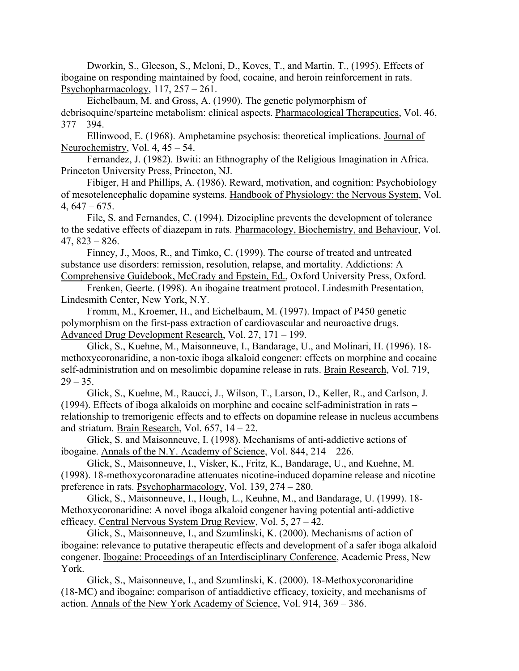Dworkin, S., Gleeson, S., Meloni, D., Koves, T., and Martin, T., (1995). Effects of ibogaine on responding maintained by food, cocaine, and heroin reinforcement in rats. Psychopharmacology, 117, 257 – 261.

Eichelbaum, M. and Gross, A. (1990). The genetic polymorphism of debrisoquine/sparteine metabolism: clinical aspects. Pharmacological Therapeutics, Vol. 46,  $377 - 394.$ 

Ellinwood, E. (1968). Amphetamine psychosis: theoretical implications. Journal of Neurochemistry, Vol. 4, 45 – 54.

Fernandez, J. (1982). Bwiti: an Ethnography of the Religious Imagination in Africa. Princeton University Press, Princeton, NJ.

Fibiger, H and Phillips, A. (1986). Reward, motivation, and cognition: Psychobiology of mesotelencephalic dopamine systems. Handbook of Physiology: the Nervous System, Vol.  $4,647-675.$ 

File, S. and Fernandes, C. (1994). Dizocipline prevents the development of tolerance to the sedative effects of diazepam in rats. Pharmacology, Biochemistry, and Behaviour, Vol. 47, 823 – 826.

Finney, J., Moos, R., and Timko, C. (1999). The course of treated and untreated substance use disorders: remission, resolution, relapse, and mortality. Addictions: A Comprehensive Guidebook, McCrady and Epstein, Ed., Oxford University Press, Oxford.

Frenken, Geerte. (1998). An ibogaine treatment protocol. Lindesmith Presentation, Lindesmith Center, New York, N.Y.

Fromm, M., Kroemer, H., and Eichelbaum, M. (1997). Impact of P450 genetic polymorphism on the first-pass extraction of cardiovascular and neuroactive drugs. Advanced Drug Development Research, Vol. 27, 171 – 199.

Glick, S., Kuehne, M., Maisonneuve, I., Bandarage, U., and Molinari, H. (1996). 18 methoxycoronaridine, a non-toxic iboga alkaloid congener: effects on morphine and cocaine self-administration and on mesolimbic dopamine release in rats. Brain Research, Vol. 719,  $29 - 35$ .

Glick, S., Kuehne, M., Raucci, J., Wilson, T., Larson, D., Keller, R., and Carlson, J. (1994). Effects of iboga alkaloids on morphine and cocaine self-administration in rats – relationship to tremorigenic effects and to effects on dopamine release in nucleus accumbens and striatum. Brain Research, Vol. 657, 14 – 22.

Glick, S. and Maisonneuve, I. (1998). Mechanisms of anti-addictive actions of ibogaine. Annals of the N.Y. Academy of Science, Vol. 844, 214 – 226.

Glick, S., Maisonneuve, I., Visker, K., Fritz, K., Bandarage, U., and Kuehne, M. (1998). 18-methoxycoronaradine attenuates nicotine-induced dopamine release and nicotine preference in rats. Psychopharmacology, Vol. 139, 274 – 280.

Glick, S., Maisonneuve, I., Hough, L., Keuhne, M., and Bandarage, U. (1999). 18- Methoxycoronaridine: A novel iboga alkaloid congener having potential anti-addictive efficacy. Central Nervous System Drug Review, Vol. 5, 27 – 42.

Glick, S., Maisonneuve, I., and Szumlinski, K. (2000). Mechanisms of action of ibogaine: relevance to putative therapeutic effects and development of a safer iboga alkaloid congener. Ibogaine: Proceedings of an Interdisciplinary Conference, Academic Press, New York.

Glick, S., Maisonneuve, I., and Szumlinski, K. (2000). 18-Methoxycoronaridine (18-MC) and ibogaine: comparison of antiaddictive efficacy, toxicity, and mechanisms of action. Annals of the New York Academy of Science, Vol. 914, 369 – 386.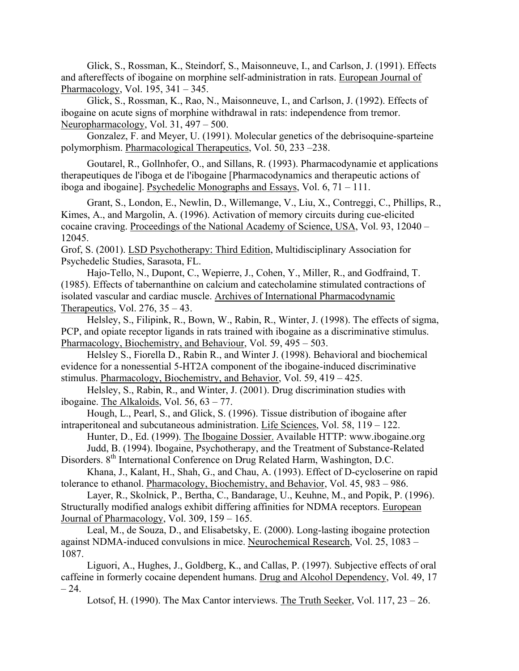Glick, S., Rossman, K., Steindorf, S., Maisonneuve, I., and Carlson, J. (1991). Effects and aftereffects of ibogaine on morphine self-administration in rats. European Journal of Pharmacology, Vol. 195, 341 – 345.

Glick, S., Rossman, K., Rao, N., Maisonneuve, I., and Carlson, J. (1992). Effects of ibogaine on acute signs of morphine withdrawal in rats: independence from tremor. Neuropharmacology, Vol. 31, 497 – 500.

Gonzalez, F. and Meyer, U. (1991). Molecular genetics of the debrisoquine-sparteine polymorphism. Pharmacological Therapeutics, Vol. 50, 233 –238.

Goutarel, R., Gollnhofer, O., and Sillans, R. (1993). Pharmacodynamie et applications therapeutiques de l'iboga et de l'ibogaine [Pharmacodynamics and therapeutic actions of iboga and ibogaine]. Psychedelic Monographs and Essays, Vol. 6, 71 – 111.

Grant, S., London, E., Newlin, D., Willemange, V., Liu, X., Contreggi, C., Phillips, R., Kimes, A., and Margolin, A. (1996). Activation of memory circuits during cue-elicited cocaine craving. Proceedings of the National Academy of Science, USA, Vol. 93, 12040 – 12045.

Grof, S. (2001). LSD Psychotherapy: Third Edition, Multidisciplinary Association for Psychedelic Studies, Sarasota, FL.

Hajo-Tello, N., Dupont, C., Wepierre, J., Cohen, Y., Miller, R., and Godfraind, T. (1985). Effects of tabernanthine on calcium and catecholamine stimulated contractions of isolated vascular and cardiac muscle. Archives of International Pharmacodynamic Therapeutics, Vol.  $276$ ,  $35 - 43$ .

Helsley, S., Filipink, R., Bown, W., Rabin, R., Winter, J. (1998). The effects of sigma, PCP, and opiate receptor ligands in rats trained with ibogaine as a discriminative stimulus. Pharmacology, Biochemistry, and Behaviour, Vol. 59, 495 – 503.

Helsley S., Fiorella D., Rabin R., and Winter J. (1998). Behavioral and biochemical evidence for a nonessential 5-HT2A component of the ibogaine-induced discriminative stimulus. Pharmacology, Biochemistry, and Behavior, Vol. 59, 419 – 425.

Helsley, S., Rabin, R., and Winter, J. (2001). Drug discrimination studies with ibogaine. The Alkaloids, Vol. 56, 63 – 77.

Hough, L., Pearl, S., and Glick, S. (1996). Tissue distribution of ibogaine after intraperitoneal and subcutaneous administration. Life Sciences, Vol. 58, 119 – 122.

Hunter, D., Ed. (1999). The Ibogaine Dossier. Available HTTP: www.ibogaine.org Judd, B. (1994). Ibogaine, Psychotherapy, and the Treatment of Substance-Related Disorders. 8<sup>th</sup> International Conference on Drug Related Harm, Washington, D.C.

Khana, J., Kalant, H., Shah, G., and Chau, A. (1993). Effect of D-cycloserine on rapid tolerance to ethanol. Pharmacology, Biochemistry, and Behavior, Vol. 45, 983 – 986.

Layer, R., Skolnick, P., Bertha, C., Bandarage, U., Keuhne, M., and Popik, P. (1996). Structurally modified analogs exhibit differing affinities for NDMA receptors. European Journal of Pharmacology, Vol. 309, 159 – 165.

Leal, M., de Souza, D., and Elisabetsky, E. (2000). Long-lasting ibogaine protection against NDMA-induced convulsions in mice. Neurochemical Research, Vol. 25, 1083 – 1087.

Liguori, A., Hughes, J., Goldberg, K., and Callas, P. (1997). Subjective effects of oral caffeine in formerly cocaine dependent humans. Drug and Alcohol Dependency, Vol. 49, 17  $-24.$ 

Lotsof, H. (1990). The Max Cantor interviews. The Truth Seeker, Vol. 117,  $23 - 26$ .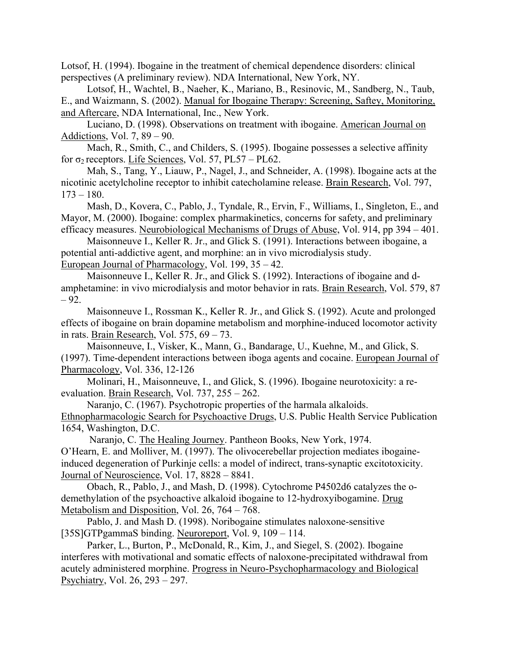Lotsof, H. (1994). Ibogaine in the treatment of chemical dependence disorders: clinical perspectives (A preliminary review). NDA International, New York, NY.

Lotsof, H., Wachtel, B., Naeher, K., Mariano, B., Resinovic, M., Sandberg, N., Taub, E., and Waizmann, S. (2002). Manual for Ibogaine Therapy: Screening, Saftey, Monitoring, and Aftercare, NDA International, Inc., New York.

Luciano, D. (1998). Observations on treatment with ibogaine. American Journal on Addictions, Vol. 7, 89 – 90.

Mach, R., Smith, C., and Childers, S. (1995). Ibogaine possesses a selective affinity for  $\sigma_2$  receptors. Life Sciences, Vol. 57, PL57 – PL62.

Mah, S., Tang, Y., Liauw, P., Nagel, J., and Schneider, A. (1998). Ibogaine acts at the nicotinic acetylcholine receptor to inhibit catecholamine release. Brain Research, Vol. 797,  $173 - 180$ .

Mash, D., Kovera, C., Pablo, J., Tyndale, R., Ervin, F., Williams, I., Singleton, E., and Mayor, M. (2000). Ibogaine: complex pharmakinetics, concerns for safety, and preliminary efficacy measures. Neurobiological Mechanisms of Drugs of Abuse, Vol. 914, pp 394 – 401.

Maisonneuve I., Keller R. Jr., and Glick S. (1991). Interactions between ibogaine, a potential anti-addictive agent, and morphine: an in vivo microdialysis study. European Journal of Pharmacology, Vol. 199, 35 – 42.

Maisonneuve I., Keller R. Jr., and Glick S. (1992). Interactions of ibogaine and damphetamine: in vivo microdialysis and motor behavior in rats. Brain Research, Vol. 579, 87  $-92.$ 

Maisonneuve I., Rossman K., Keller R. Jr., and Glick S. (1992). Acute and prolonged effects of ibogaine on brain dopamine metabolism and morphine-induced locomotor activity in rats. Brain Research, Vol. 575, 69 – 73.

Maisonneuve, I., Visker, K., Mann, G., Bandarage, U., Kuehne, M., and Glick, S. (1997). Time-dependent interactions between iboga agents and cocaine. European Journal of Pharmacology, Vol. 336, 12-126

Molinari, H., Maisonneuve, I., and Glick, S. (1996). Ibogaine neurotoxicity: a reevaluation. Brain Research, Vol. 737, 255 – 262.

Naranjo, C. (1967). Psychotropic properties of the harmala alkaloids. Ethnopharmacologic Search for Psychoactive Drugs, U.S. Public Health Service Publication 1654, Washington, D.C.

 Naranjo, C. The Healing Journey. Pantheon Books, New York, 1974. O'Hearn, E. and Molliver, M. (1997). The olivocerebellar projection mediates ibogaineinduced degeneration of Purkinje cells: a model of indirect, trans-synaptic excitotoxicity. Journal of Neuroscience, Vol. 17, 8828 – 8841.

Obach, R., Pablo, J., and Mash, D. (1998). Cytochrome P4502d6 catalyzes the odemethylation of the psychoactive alkaloid ibogaine to 12-hydroxyibogamine. Drug Metabolism and Disposition, Vol. 26, 764 – 768.

Pablo, J. and Mash D. (1998). Noribogaine stimulates naloxone-sensitive [35S]GTPgammaS binding. Neuroreport, Vol. 9, 109 – 114.

Parker, L., Burton, P., McDonald, R., Kim, J., and Siegel, S. (2002). Ibogaine interferes with motivational and somatic effects of naloxone-precipitated withdrawal from acutely administered morphine. Progress in Neuro-Psychopharmacology and Biological Psychiatry, Vol. 26, 293 – 297.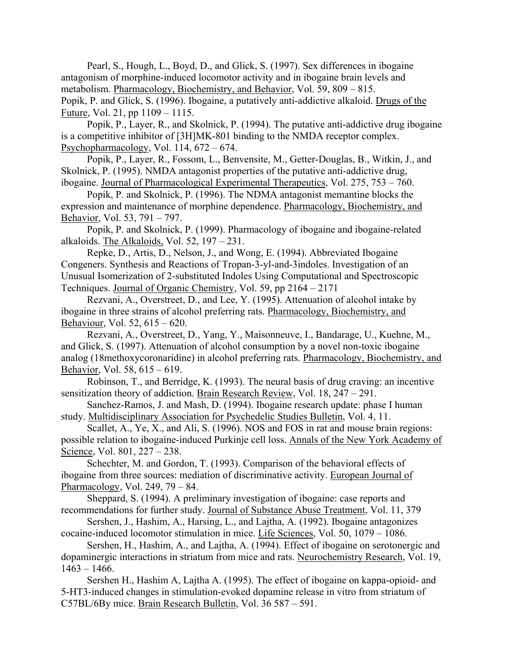Pearl, S., Hough, L., Boyd, D., and Glick, S. (1997). Sex differences in ibogaine antagonism of morphine-induced locomotor activity and in ibogaine brain levels and metabolism. Pharmacology, Biochemistry, and Behavior, Vol. 59, 809 – 815. Popik, P. and Glick, S. (1996). Ibogaine, a putatively anti-addictive alkaloid. Drugs of the Future, Vol. 21, pp 1109 – 1115.

Popik, P., Layer, R., and Skolnick, P. (1994). The putative anti-addictive drug ibogaine is a competitive inhibitor of [3H]MK-801 binding to the NMDA receptor complex. Psychopharmacology, Vol. 114, 672 – 674.

Popik, P., Layer, R., Fossom, L., Benvensite, M., Getter-Douglas, B., Witkin, J., and Skolnick, P. (1995). NMDA antagonist properties of the putative anti-addictive drug, ibogaine. Journal of Pharmacological Experimental Therapeutics, Vol. 275, 753 – 760.

Popik, P. and Skolnick, P. (1996). The NDMA antagonist memantine blocks the expression and maintenance of morphine dependence. Pharmacology, Biochemistry, and Behavior, Vol. 53, 791 – 797.

Popik, P. and Skolnick, P. (1999). Pharmacology of ibogaine and ibogaine-related alkaloids. The Alkaloids, Vol. 52, 197 – 231.

Repke, D., Artis, D., Nelson, J., and Wong, E. (1994). Abbreviated Ibogaine Congeners. Synthesis and Reactions of Tropan-3-yl-and-3indoles. Investigation of an Unusual Isomerization of 2-substituted Indoles Using Computational and Spectroscopic Techniques. Journal of Organic Chemistry, Vol. 59, pp 2164 – 2171

Rezvani, A., Overstreet, D., and Lee, Y. (1995). Attenuation of alcohol intake by ibogaine in three strains of alcohol preferring rats. Pharmacology, Biochemistry, and Behaviour, Vol. 52, 615 – 620.

Rezvani, A., Overstreet, D., Yang, Y., Maisonneuve, I., Bandarage, U., Kuehne, M., and Glick, S. (1997). Attenuation of alcohol consumption by a novel non-toxic ibogaine analog (18methoxycoronaridine) in alcohol preferring rats. Pharmacology, Biochemistry, and Behavior, Vol. 58, 615 – 619.

Robinson, T., and Berridge, K. (1993). The neural basis of drug craving: an incentive sensitization theory of addiction. Brain Research Review, Vol. 18, 247 – 291.

Sanchez-Ramos, J. and Mash, D. (1994). Ibogaine research update: phase I human study. Multidisciplinary Association for Psychedelic Studies Bulletin, Vol. 4, 11.

Scallet, A., Ye, X., and Ali, S. (1996). NOS and FOS in rat and mouse brain regions: possible relation to ibogaine-induced Purkinje cell loss. Annals of the New York Academy of Science, Vol. 801, 227 – 238.

Schechter, M. and Gordon, T. (1993). Comparison of the behavioral effects of ibogaine from three sources: mediation of discriminative activity. European Journal of Pharmacology, Vol. 249, 79 – 84.

Sheppard, S. (1994). A preliminary investigation of ibogaine: case reports and recommendations for further study. Journal of Substance Abuse Treatment, Vol. 11, 379

Sershen, J., Hashim, A., Harsing, L., and Lajtha, A. (1992). Ibogaine antagonizes cocaine-induced locomotor stimulation in mice. Life Sciences, Vol. 50, 1079 – 1086.

Sershen, H., Hashim, A., and Lajtha, A. (1994). Effect of ibogaine on serotonergic and dopaminergic interactions in striatum from mice and rats. Neurochemistry Research, Vol. 19,  $1463 - 1466$ .

Sershen H., Hashim A, Lajtha A. (1995). The effect of ibogaine on kappa-opioid- and 5-HT3-induced changes in stimulation-evoked dopamine release in vitro from striatum of C57BL/6By mice. Brain Research Bulletin, Vol. 36 587 – 591.